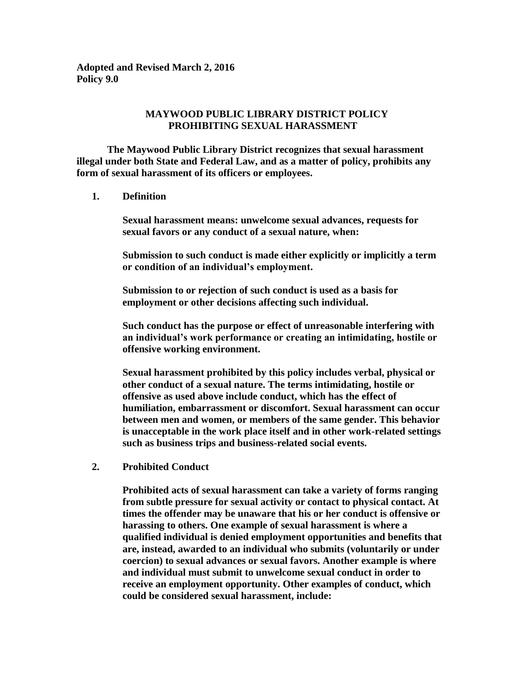**Adopted and Revised March 2, 2016 Policy 9.0**

## **MAYWOOD PUBLIC LIBRARY DISTRICT POLICY PROHIBITING SEXUAL HARASSMENT**

 **The Maywood Public Library District recognizes that sexual harassment illegal under both State and Federal Law, and as a matter of policy, prohibits any form of sexual harassment of its officers or employees.**

**1. Definition**

**Sexual harassment means: unwelcome sexual advances, requests for sexual favors or any conduct of a sexual nature, when:**

**Submission to such conduct is made either explicitly or implicitly a term or condition of an individual's employment.**

**Submission to or rejection of such conduct is used as a basis for employment or other decisions affecting such individual.**

**Such conduct has the purpose or effect of unreasonable interfering with an individual's work performance or creating an intimidating, hostile or offensive working environment.**

**Sexual harassment prohibited by this policy includes verbal, physical or other conduct of a sexual nature. The terms intimidating, hostile or offensive as used above include conduct, which has the effect of humiliation, embarrassment or discomfort. Sexual harassment can occur between men and women, or members of the same gender. This behavior is unacceptable in the work place itself and in other work-related settings such as business trips and business-related social events.**

**2. Prohibited Conduct**

**Prohibited acts of sexual harassment can take a variety of forms ranging from subtle pressure for sexual activity or contact to physical contact. At times the offender may be unaware that his or her conduct is offensive or harassing to others. One example of sexual harassment is where a qualified individual is denied employment opportunities and benefits that are, instead, awarded to an individual who submits (voluntarily or under coercion) to sexual advances or sexual favors. Another example is where and individual must submit to unwelcome sexual conduct in order to receive an employment opportunity. Other examples of conduct, which could be considered sexual harassment, include:**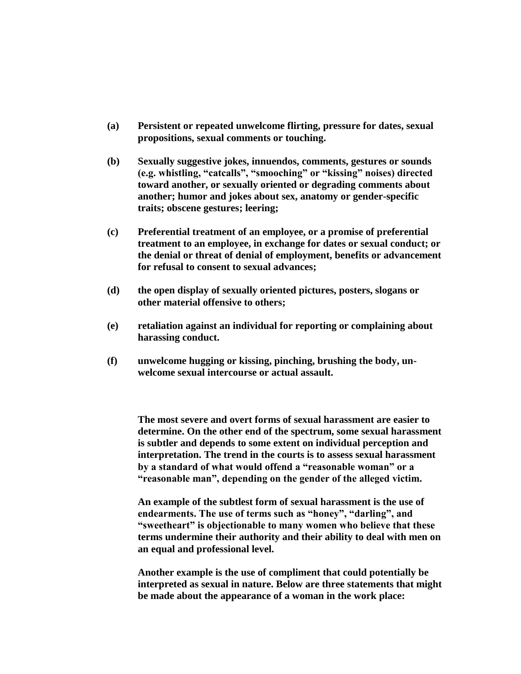- **(a) Persistent or repeated unwelcome flirting, pressure for dates, sexual propositions, sexual comments or touching.**
- **(b) Sexually suggestive jokes, innuendos, comments, gestures or sounds (e.g. whistling, "catcalls", "smooching" or "kissing" noises) directed toward another, or sexually oriented or degrading comments about another; humor and jokes about sex, anatomy or gender-specific traits; obscene gestures; leering;**
- **(c) Preferential treatment of an employee, or a promise of preferential treatment to an employee, in exchange for dates or sexual conduct; or the denial or threat of denial of employment, benefits or advancement for refusal to consent to sexual advances;**
- **(d) the open display of sexually oriented pictures, posters, slogans or other material offensive to others;**
- **(e) retaliation against an individual for reporting or complaining about harassing conduct.**
- **(f) unwelcome hugging or kissing, pinching, brushing the body, unwelcome sexual intercourse or actual assault.**

**The most severe and overt forms of sexual harassment are easier to determine. On the other end of the spectrum, some sexual harassment is subtler and depends to some extent on individual perception and interpretation. The trend in the courts is to assess sexual harassment by a standard of what would offend a "reasonable woman" or a "reasonable man", depending on the gender of the alleged victim.**

**An example of the subtlest form of sexual harassment is the use of endearments. The use of terms such as "honey", "darling", and "sweetheart" is objectionable to many women who believe that these terms undermine their authority and their ability to deal with men on an equal and professional level.**

**Another example is the use of compliment that could potentially be interpreted as sexual in nature. Below are three statements that might be made about the appearance of a woman in the work place:**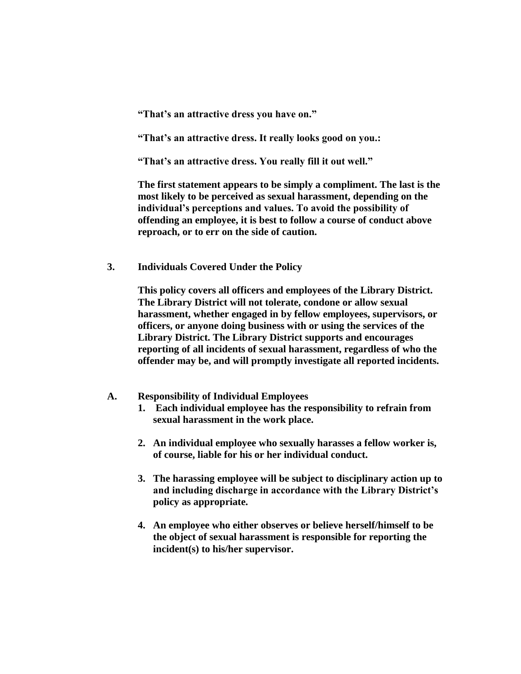**"That's an attractive dress you have on."**

**"That's an attractive dress. It really looks good on you.:**

**"That's an attractive dress. You really fill it out well."**

**The first statement appears to be simply a compliment. The last is the most likely to be perceived as sexual harassment, depending on the individual's perceptions and values. To avoid the possibility of offending an employee, it is best to follow a course of conduct above reproach, or to err on the side of caution.**

**3. Individuals Covered Under the Policy**

**This policy covers all officers and employees of the Library District. The Library District will not tolerate, condone or allow sexual harassment, whether engaged in by fellow employees, supervisors, or officers, or anyone doing business with or using the services of the Library District. The Library District supports and encourages reporting of all incidents of sexual harassment, regardless of who the offender may be, and will promptly investigate all reported incidents.**

### **A. Responsibility of Individual Employees**

- **1. Each individual employee has the responsibility to refrain from sexual harassment in the work place.**
- **2. An individual employee who sexually harasses a fellow worker is, of course, liable for his or her individual conduct.**
- **3. The harassing employee will be subject to disciplinary action up to and including discharge in accordance with the Library District's policy as appropriate.**
- **4. An employee who either observes or believe herself/himself to be the object of sexual harassment is responsible for reporting the incident(s) to his/her supervisor.**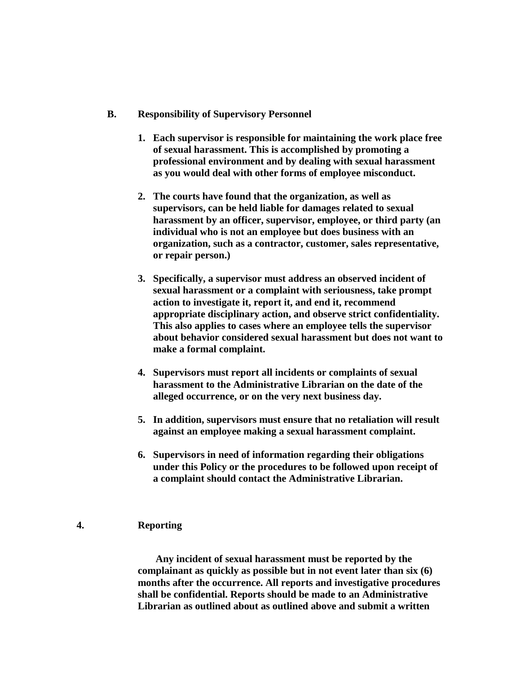- **B. Responsibility of Supervisory Personnel**
	- **1. Each supervisor is responsible for maintaining the work place free of sexual harassment. This is accomplished by promoting a professional environment and by dealing with sexual harassment as you would deal with other forms of employee misconduct.**
	- **2. The courts have found that the organization, as well as supervisors, can be held liable for damages related to sexual harassment by an officer, supervisor, employee, or third party (an individual who is not an employee but does business with an organization, such as a contractor, customer, sales representative, or repair person.)**
	- **3. Specifically, a supervisor must address an observed incident of sexual harassment or a complaint with seriousness, take prompt action to investigate it, report it, and end it, recommend appropriate disciplinary action, and observe strict confidentiality. This also applies to cases where an employee tells the supervisor about behavior considered sexual harassment but does not want to make a formal complaint.**
	- **4. Supervisors must report all incidents or complaints of sexual harassment to the Administrative Librarian on the date of the alleged occurrence, or on the very next business day.**
	- **5. In addition, supervisors must ensure that no retaliation will result against an employee making a sexual harassment complaint.**
	- **6. Supervisors in need of information regarding their obligations under this Policy or the procedures to be followed upon receipt of a complaint should contact the Administrative Librarian.**

# **4. Reporting**

 **Any incident of sexual harassment must be reported by the complainant as quickly as possible but in not event later than six (6) months after the occurrence. All reports and investigative procedures shall be confidential. Reports should be made to an Administrative Librarian as outlined about as outlined above and submit a written**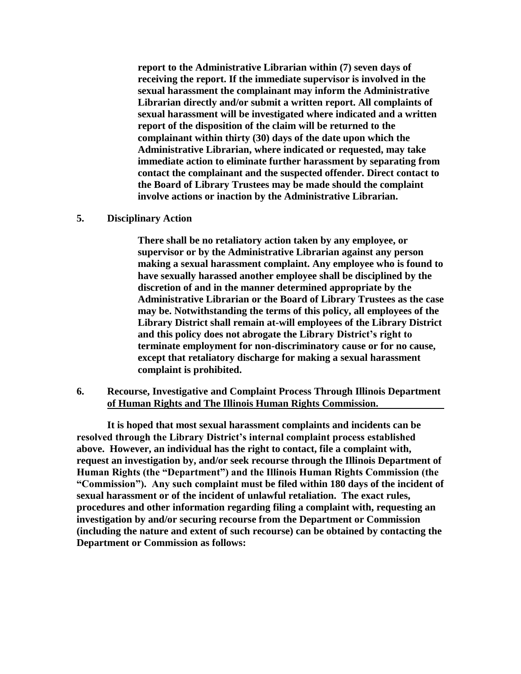**report to the Administrative Librarian within (7) seven days of receiving the report. If the immediate supervisor is involved in the sexual harassment the complainant may inform the Administrative Librarian directly and/or submit a written report. All complaints of sexual harassment will be investigated where indicated and a written report of the disposition of the claim will be returned to the complainant within thirty (30) days of the date upon which the Administrative Librarian, where indicated or requested, may take immediate action to eliminate further harassment by separating from contact the complainant and the suspected offender. Direct contact to the Board of Library Trustees may be made should the complaint involve actions or inaction by the Administrative Librarian.**

### **5. Disciplinary Action**

**There shall be no retaliatory action taken by any employee, or supervisor or by the Administrative Librarian against any person making a sexual harassment complaint. Any employee who is found to have sexually harassed another employee shall be disciplined by the discretion of and in the manner determined appropriate by the Administrative Librarian or the Board of Library Trustees as the case may be. Notwithstanding the terms of this policy, all employees of the Library District shall remain at-will employees of the Library District and this policy does not abrogate the Library District's right to terminate employment for non-discriminatory cause or for no cause, except that retaliatory discharge for making a sexual harassment complaint is prohibited.**

### **6. Recourse, Investigative and Complaint Process Through Illinois Department of Human Rights and The Illinois Human Rights Commission.**

**It is hoped that most sexual harassment complaints and incidents can be resolved through the Library District's internal complaint process established above. However, an individual has the right to contact, file a complaint with, request an investigation by, and/or seek recourse through the Illinois Department of Human Rights (the "Department") and the Illinois Human Rights Commission (the "Commission"). Any such complaint must be filed within 180 days of the incident of sexual harassment or of the incident of unlawful retaliation. The exact rules, procedures and other information regarding filing a complaint with, requesting an investigation by and/or securing recourse from the Department or Commission (including the nature and extent of such recourse) can be obtained by contacting the Department or Commission as follows:**